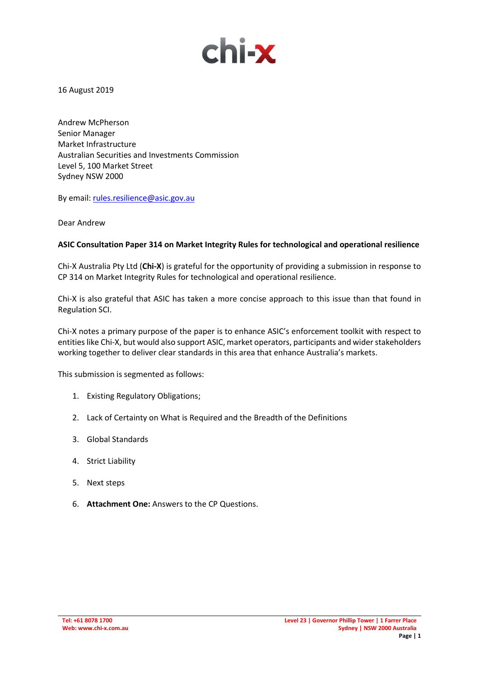

16 August 2019

Andrew McPherson Senior Manager Market Infrastructure Australian Securities and Investments Commission Level 5, 100 Market Street Sydney NSW 2000

By email: [rules.resilience@asic.gov.au](mailto:rules.resilience@asic.gov.au)

Dear Andrew

### **ASIC Consultation Paper 314 on Market Integrity Rules for technological and operational resilience**

Chi-X Australia Pty Ltd (**Chi-X**) is grateful for the opportunity of providing a submission in response to CP 314 on Market Integrity Rules for technological and operational resilience.

Chi-X is also grateful that ASIC has taken a more concise approach to this issue than that found in Regulation SCI.

Chi-X notes a primary purpose of the paper is to enhance ASIC's enforcement toolkit with respect to entities like Chi-X, but would also support ASIC, market operators, participants and wider stakeholders working together to deliver clear standards in this area that enhance Australia's markets.

This submission is segmented as follows:

- 1. Existing Regulatory Obligations;
- 2. Lack of Certainty on What is Required and the Breadth of the Definitions
- 3. Global Standards
- 4. Strict Liability
- 5. Next steps
- 6. **Attachment One:** Answers to the CP Questions.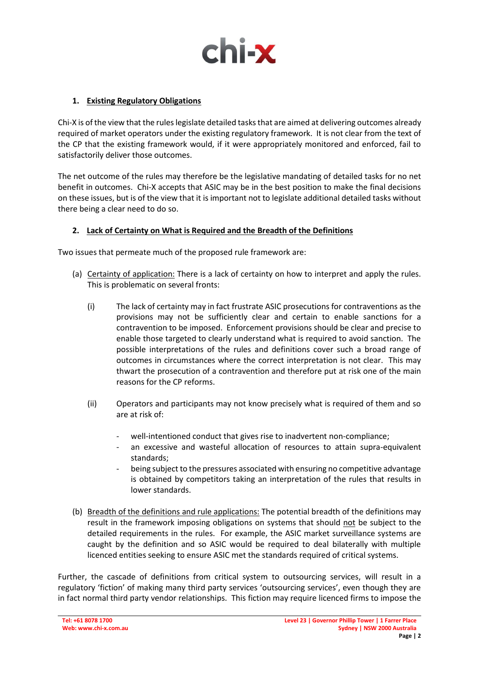

# **1. Existing Regulatory Obligations**

Chi-X is of the view that the rules legislate detailed tasks that are aimed at delivering outcomes already required of market operators under the existing regulatory framework. It is not clear from the text of the CP that the existing framework would, if it were appropriately monitored and enforced, fail to satisfactorily deliver those outcomes.

The net outcome of the rules may therefore be the legislative mandating of detailed tasks for no net benefit in outcomes. Chi-X accepts that ASIC may be in the best position to make the final decisions on these issues, but is of the view that it is important not to legislate additional detailed tasks without there being a clear need to do so.

## **2. Lack of Certainty on What is Required and the Breadth of the Definitions**

Two issues that permeate much of the proposed rule framework are:

- (a) Certainty of application: There is a lack of certainty on how to interpret and apply the rules. This is problematic on several fronts:
	- (i) The lack of certainty may in fact frustrate ASIC prosecutions for contraventions as the provisions may not be sufficiently clear and certain to enable sanctions for a contravention to be imposed. Enforcement provisions should be clear and precise to enable those targeted to clearly understand what is required to avoid sanction. The possible interpretations of the rules and definitions cover such a broad range of outcomes in circumstances where the correct interpretation is not clear. This may thwart the prosecution of a contravention and therefore put at risk one of the main reasons for the CP reforms.
	- (ii) Operators and participants may not know precisely what is required of them and so are at risk of:
		- well-intentioned conduct that gives rise to inadvertent non-compliance;
		- an excessive and wasteful allocation of resources to attain supra-equivalent standards;
		- being subject to the pressures associated with ensuring no competitive advantage is obtained by competitors taking an interpretation of the rules that results in lower standards.
- (b) Breadth of the definitions and rule applications: The potential breadth of the definitions may result in the framework imposing obligations on systems that should not be subject to the detailed requirements in the rules. For example, the ASIC market surveillance systems are caught by the definition and so ASIC would be required to deal bilaterally with multiple licenced entities seeking to ensure ASIC met the standards required of critical systems.

Further, the cascade of definitions from critical system to outsourcing services, will result in a regulatory 'fiction' of making many third party services 'outsourcing services', even though they are in fact normal third party vendor relationships. This fiction may require licenced firms to impose the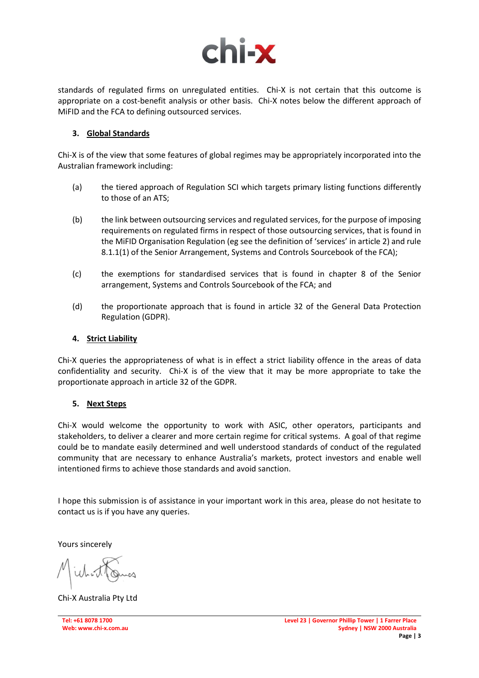

standards of regulated firms on unregulated entities. Chi-X is not certain that this outcome is appropriate on a cost-benefit analysis or other basis. Chi-X notes below the different approach of MiFID and the FCA to defining outsourced services.

### **3. Global Standards**

Chi-X is of the view that some features of global regimes may be appropriately incorporated into the Australian framework including:

- (a) the tiered approach of Regulation SCI which targets primary listing functions differently to those of an ATS;
- (b) the link between outsourcing services and regulated services, for the purpose of imposing requirements on regulated firms in respect of those outsourcing services, that is found in the MiFID Organisation Regulation (eg see the definition of 'services' in article 2) and rule 8.1.1(1) of the Senior Arrangement, Systems and Controls Sourcebook of the FCA);
- (c) the exemptions for standardised services that is found in chapter 8 of the Senior arrangement, Systems and Controls Sourcebook of the FCA; and
- (d) the proportionate approach that is found in article 32 of the General Data Protection Regulation (GDPR).

### **4. Strict Liability**

Chi-X queries the appropriateness of what is in effect a strict liability offence in the areas of data confidentiality and security. Chi-X is of the view that it may be more appropriate to take the proportionate approach in article 32 of the GDPR.

#### **5. Next Steps**

Chi-X would welcome the opportunity to work with ASIC, other operators, participants and stakeholders, to deliver a clearer and more certain regime for critical systems. A goal of that regime could be to mandate easily determined and well understood standards of conduct of the regulated community that are necessary to enhance Australia's markets, protect investors and enable well intentioned firms to achieve those standards and avoid sanction.

I hope this submission is of assistance in your important work in this area, please do not hesitate to contact us is if you have any queries.

Yours sincerely

Chi-X Australia Pty Ltd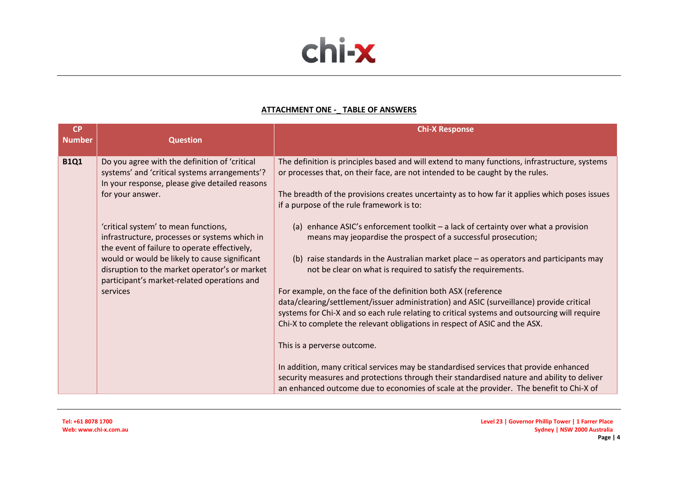

#### **ATTACHMENT ONE -\_ TABLE OF ANSWERS**

| <b>CP</b><br><b>Number</b> | <b>Question</b>                                                                                                                                  | <b>Chi-X Response</b>                                                                                                                                                                                                                                                                                                                    |
|----------------------------|--------------------------------------------------------------------------------------------------------------------------------------------------|------------------------------------------------------------------------------------------------------------------------------------------------------------------------------------------------------------------------------------------------------------------------------------------------------------------------------------------|
| <b>B1Q1</b>                | Do you agree with the definition of 'critical<br>systems' and 'critical systems arrangements'?<br>In your response, please give detailed reasons | The definition is principles based and will extend to many functions, infrastructure, systems<br>or processes that, on their face, are not intended to be caught by the rules.                                                                                                                                                           |
|                            | for your answer.                                                                                                                                 | The breadth of the provisions creates uncertainty as to how far it applies which poses issues<br>if a purpose of the rule framework is to:                                                                                                                                                                                               |
|                            | 'critical system' to mean functions,<br>infrastructure, processes or systems which in<br>the event of failure to operate effectively,            | (a) enhance ASIC's enforcement toolkit - a lack of certainty over what a provision<br>means may jeopardise the prospect of a successful prosecution;                                                                                                                                                                                     |
|                            | would or would be likely to cause significant<br>disruption to the market operator's or market<br>participant's market-related operations and    | (b) raise standards in the Australian market place - as operators and participants may<br>not be clear on what is required to satisfy the requirements.                                                                                                                                                                                  |
|                            | services                                                                                                                                         | For example, on the face of the definition both ASX (reference<br>data/clearing/settlement/issuer administration) and ASIC (surveillance) provide critical<br>systems for Chi-X and so each rule relating to critical systems and outsourcing will require<br>Chi-X to complete the relevant obligations in respect of ASIC and the ASX. |
|                            |                                                                                                                                                  | This is a perverse outcome.                                                                                                                                                                                                                                                                                                              |
|                            |                                                                                                                                                  | In addition, many critical services may be standardised services that provide enhanced<br>security measures and protections through their standardised nature and ability to deliver<br>an enhanced outcome due to economies of scale at the provider. The benefit to Chi-X of                                                           |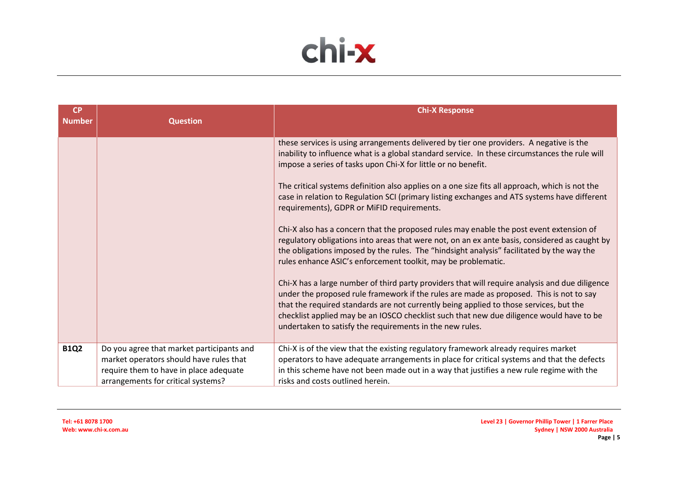

| <b>CP</b><br><b>Number</b> | <b>Question</b>                                                                                                                                                      | <b>Chi-X Response</b>                                                                                                                                                                                                                                                                                                                                                                                                                                                                                                                                                                                                                                                                                                                                                                                                                                                                                                                                                                                                                                                                                                                                                                                                                                                                                               |
|----------------------------|----------------------------------------------------------------------------------------------------------------------------------------------------------------------|---------------------------------------------------------------------------------------------------------------------------------------------------------------------------------------------------------------------------------------------------------------------------------------------------------------------------------------------------------------------------------------------------------------------------------------------------------------------------------------------------------------------------------------------------------------------------------------------------------------------------------------------------------------------------------------------------------------------------------------------------------------------------------------------------------------------------------------------------------------------------------------------------------------------------------------------------------------------------------------------------------------------------------------------------------------------------------------------------------------------------------------------------------------------------------------------------------------------------------------------------------------------------------------------------------------------|
|                            |                                                                                                                                                                      | these services is using arrangements delivered by tier one providers. A negative is the<br>inability to influence what is a global standard service. In these circumstances the rule will<br>impose a series of tasks upon Chi-X for little or no benefit.<br>The critical systems definition also applies on a one size fits all approach, which is not the<br>case in relation to Regulation SCI (primary listing exchanges and ATS systems have different<br>requirements), GDPR or MiFID requirements.<br>Chi-X also has a concern that the proposed rules may enable the post event extension of<br>regulatory obligations into areas that were not, on an ex ante basis, considered as caught by<br>the obligations imposed by the rules. The "hindsight analysis" facilitated by the way the<br>rules enhance ASIC's enforcement toolkit, may be problematic.<br>Chi-X has a large number of third party providers that will require analysis and due diligence<br>under the proposed rule framework if the rules are made as proposed. This is not to say<br>that the required standards are not currently being applied to those services, but the<br>checklist applied may be an IOSCO checklist such that new due diligence would have to be<br>undertaken to satisfy the requirements in the new rules. |
| <b>B1Q2</b>                | Do you agree that market participants and<br>market operators should have rules that<br>require them to have in place adequate<br>arrangements for critical systems? | Chi-X is of the view that the existing regulatory framework already requires market<br>operators to have adequate arrangements in place for critical systems and that the defects<br>in this scheme have not been made out in a way that justifies a new rule regime with the<br>risks and costs outlined herein.                                                                                                                                                                                                                                                                                                                                                                                                                                                                                                                                                                                                                                                                                                                                                                                                                                                                                                                                                                                                   |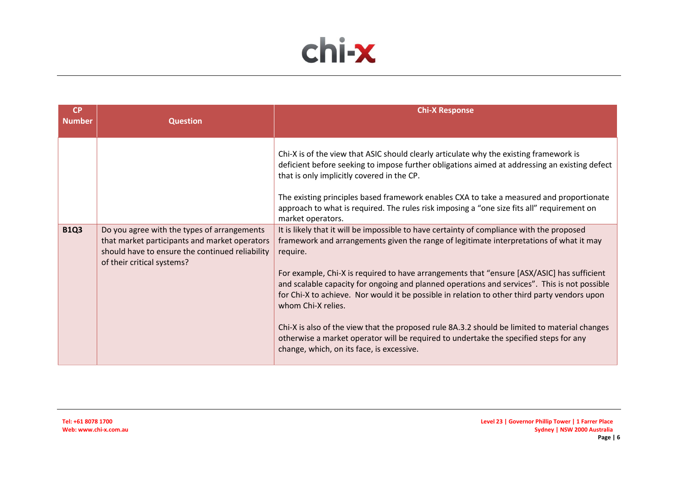

| <b>CP</b><br><b>Number</b> | <b>Question</b>                                                                                                                                                               | <b>Chi-X Response</b>                                                                                                                                                                                                                                                                                                                                                                                                                                                                                                                                                                                                                                                                                                                                       |
|----------------------------|-------------------------------------------------------------------------------------------------------------------------------------------------------------------------------|-------------------------------------------------------------------------------------------------------------------------------------------------------------------------------------------------------------------------------------------------------------------------------------------------------------------------------------------------------------------------------------------------------------------------------------------------------------------------------------------------------------------------------------------------------------------------------------------------------------------------------------------------------------------------------------------------------------------------------------------------------------|
|                            |                                                                                                                                                                               | Chi-X is of the view that ASIC should clearly articulate why the existing framework is<br>deficient before seeking to impose further obligations aimed at addressing an existing defect<br>that is only implicitly covered in the CP.<br>The existing principles based framework enables CXA to take a measured and proportionate<br>approach to what is required. The rules risk imposing a "one size fits all" requirement on<br>market operators.                                                                                                                                                                                                                                                                                                        |
| <b>B1Q3</b>                | Do you agree with the types of arrangements<br>that market participants and market operators<br>should have to ensure the continued reliability<br>of their critical systems? | It is likely that it will be impossible to have certainty of compliance with the proposed<br>framework and arrangements given the range of legitimate interpretations of what it may<br>require.<br>For example, Chi-X is required to have arrangements that "ensure [ASX/ASIC] has sufficient<br>and scalable capacity for ongoing and planned operations and services". This is not possible<br>for Chi-X to achieve. Nor would it be possible in relation to other third party vendors upon<br>whom Chi-X relies.<br>Chi-X is also of the view that the proposed rule 8A.3.2 should be limited to material changes<br>otherwise a market operator will be required to undertake the specified steps for any<br>change, which, on its face, is excessive. |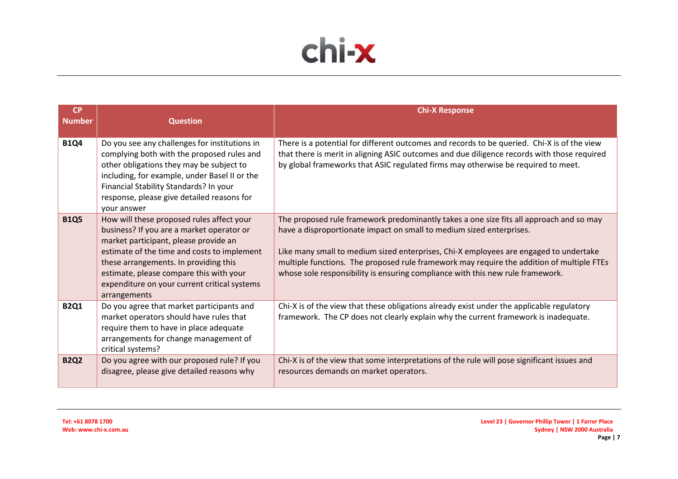

| <b>CP</b><br><b>Number</b> | <b>Question</b>                                                                                                                                                                                                                                                                                                                    | <b>Chi-X Response</b>                                                                                                                                                                                                                                                                                                                                                                                                                   |
|----------------------------|------------------------------------------------------------------------------------------------------------------------------------------------------------------------------------------------------------------------------------------------------------------------------------------------------------------------------------|-----------------------------------------------------------------------------------------------------------------------------------------------------------------------------------------------------------------------------------------------------------------------------------------------------------------------------------------------------------------------------------------------------------------------------------------|
| <b>B1Q4</b>                | Do you see any challenges for institutions in<br>complying both with the proposed rules and<br>other obligations they may be subject to<br>including, for example, under Basel II or the<br>Financial Stability Standards? In your<br>response, please give detailed reasons for<br>your answer                                    | There is a potential for different outcomes and records to be queried. Chi-X is of the view<br>that there is merit in aligning ASIC outcomes and due diligence records with those required<br>by global frameworks that ASIC regulated firms may otherwise be required to meet.                                                                                                                                                         |
| <b>B1Q5</b>                | How will these proposed rules affect your<br>business? If you are a market operator or<br>market participant, please provide an<br>estimate of the time and costs to implement<br>these arrangements. In providing this<br>estimate, please compare this with your<br>expenditure on your current critical systems<br>arrangements | The proposed rule framework predominantly takes a one size fits all approach and so may<br>have a disproportionate impact on small to medium sized enterprises.<br>Like many small to medium sized enterprises, Chi-X employees are engaged to undertake<br>multiple functions. The proposed rule framework may require the addition of multiple FTEs<br>whose sole responsibility is ensuring compliance with this new rule framework. |
| <b>B2Q1</b>                | Do you agree that market participants and<br>market operators should have rules that<br>require them to have in place adequate<br>arrangements for change management of<br>critical systems?                                                                                                                                       | Chi-X is of the view that these obligations already exist under the applicable regulatory<br>framework. The CP does not clearly explain why the current framework is inadequate.                                                                                                                                                                                                                                                        |
| <b>B2Q2</b>                | Do you agree with our proposed rule? If you<br>disagree, please give detailed reasons why                                                                                                                                                                                                                                          | Chi-X is of the view that some interpretations of the rule will pose significant issues and<br>resources demands on market operators.                                                                                                                                                                                                                                                                                                   |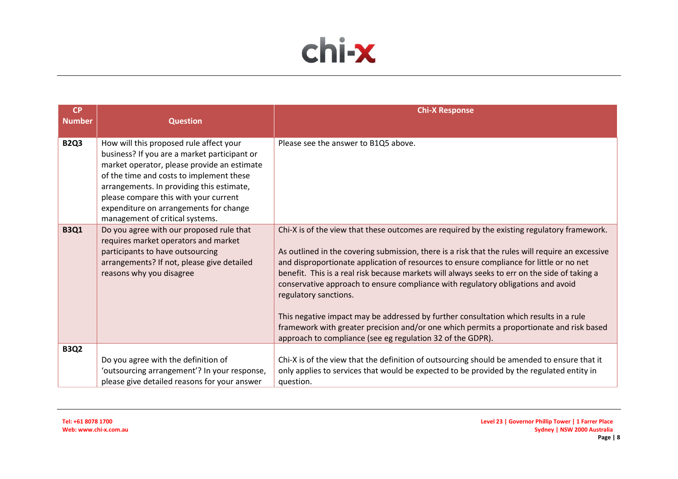

| <b>CP</b><br><b>Number</b> | <b>Question</b>                                                                                                                                                                                                                                                                                                                                       | <b>Chi-X Response</b>                                                                                                                                                                                                                                                                                                                                                                                                                                                                                                                                                                                                                                                                                                                                       |
|----------------------------|-------------------------------------------------------------------------------------------------------------------------------------------------------------------------------------------------------------------------------------------------------------------------------------------------------------------------------------------------------|-------------------------------------------------------------------------------------------------------------------------------------------------------------------------------------------------------------------------------------------------------------------------------------------------------------------------------------------------------------------------------------------------------------------------------------------------------------------------------------------------------------------------------------------------------------------------------------------------------------------------------------------------------------------------------------------------------------------------------------------------------------|
|                            |                                                                                                                                                                                                                                                                                                                                                       |                                                                                                                                                                                                                                                                                                                                                                                                                                                                                                                                                                                                                                                                                                                                                             |
| <b>B2Q3</b>                | How will this proposed rule affect your<br>business? If you are a market participant or<br>market operator, please provide an estimate<br>of the time and costs to implement these<br>arrangements. In providing this estimate,<br>please compare this with your current<br>expenditure on arrangements for change<br>management of critical systems. | Please see the answer to B1Q5 above.                                                                                                                                                                                                                                                                                                                                                                                                                                                                                                                                                                                                                                                                                                                        |
| <b>B3Q1</b>                | Do you agree with our proposed rule that<br>requires market operators and market<br>participants to have outsourcing<br>arrangements? If not, please give detailed<br>reasons why you disagree                                                                                                                                                        | Chi-X is of the view that these outcomes are required by the existing regulatory framework.<br>As outlined in the covering submission, there is a risk that the rules will require an excessive<br>and disproportionate application of resources to ensure compliance for little or no net<br>benefit. This is a real risk because markets will always seeks to err on the side of taking a<br>conservative approach to ensure compliance with regulatory obligations and avoid<br>regulatory sanctions.<br>This negative impact may be addressed by further consultation which results in a rule<br>framework with greater precision and/or one which permits a proportionate and risk based<br>approach to compliance (see eg regulation 32 of the GDPR). |
| <b>B3Q2</b>                | Do you agree with the definition of                                                                                                                                                                                                                                                                                                                   | Chi-X is of the view that the definition of outsourcing should be amended to ensure that it                                                                                                                                                                                                                                                                                                                                                                                                                                                                                                                                                                                                                                                                 |
|                            | 'outsourcing arrangement'? In your response,<br>please give detailed reasons for your answer                                                                                                                                                                                                                                                          | only applies to services that would be expected to be provided by the regulated entity in<br>question.                                                                                                                                                                                                                                                                                                                                                                                                                                                                                                                                                                                                                                                      |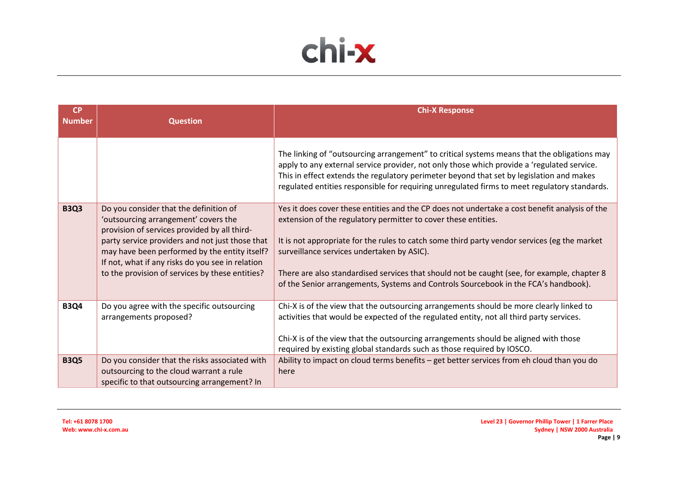

| <b>CP</b><br><b>Number</b> | <b>Question</b>                                                                                                                                      | <b>Chi-X Response</b>                                                                                                                                                                                                                                                                                                                                                                 |
|----------------------------|------------------------------------------------------------------------------------------------------------------------------------------------------|---------------------------------------------------------------------------------------------------------------------------------------------------------------------------------------------------------------------------------------------------------------------------------------------------------------------------------------------------------------------------------------|
|                            |                                                                                                                                                      |                                                                                                                                                                                                                                                                                                                                                                                       |
|                            |                                                                                                                                                      | The linking of "outsourcing arrangement" to critical systems means that the obligations may<br>apply to any external service provider, not only those which provide a 'regulated service.<br>This in effect extends the regulatory perimeter beyond that set by legislation and makes<br>regulated entities responsible for requiring unregulated firms to meet regulatory standards. |
| <b>B3Q3</b>                | Do you consider that the definition of<br>'outsourcing arrangement' covers the<br>provision of services provided by all third-                       | Yes it does cover these entities and the CP does not undertake a cost benefit analysis of the<br>extension of the regulatory permitter to cover these entities.                                                                                                                                                                                                                       |
|                            | party service providers and not just those that<br>may have been performed by the entity itself?<br>If not, what if any risks do you see in relation | It is not appropriate for the rules to catch some third party vendor services (eg the market<br>surveillance services undertaken by ASIC).                                                                                                                                                                                                                                            |
|                            | to the provision of services by these entities?                                                                                                      | There are also standardised services that should not be caught (see, for example, chapter 8<br>of the Senior arrangements, Systems and Controls Sourcebook in the FCA's handbook).                                                                                                                                                                                                    |
| <b>B3Q4</b>                | Do you agree with the specific outsourcing<br>arrangements proposed?                                                                                 | Chi-X is of the view that the outsourcing arrangements should be more clearly linked to<br>activities that would be expected of the regulated entity, not all third party services.                                                                                                                                                                                                   |
|                            |                                                                                                                                                      | Chi-X is of the view that the outsourcing arrangements should be aligned with those<br>required by existing global standards such as those required by IOSCO.                                                                                                                                                                                                                         |
| <b>B3Q5</b>                | Do you consider that the risks associated with<br>outsourcing to the cloud warrant a rule<br>specific to that outsourcing arrangement? In            | Ability to impact on cloud terms benefits - get better services from eh cloud than you do<br>here                                                                                                                                                                                                                                                                                     |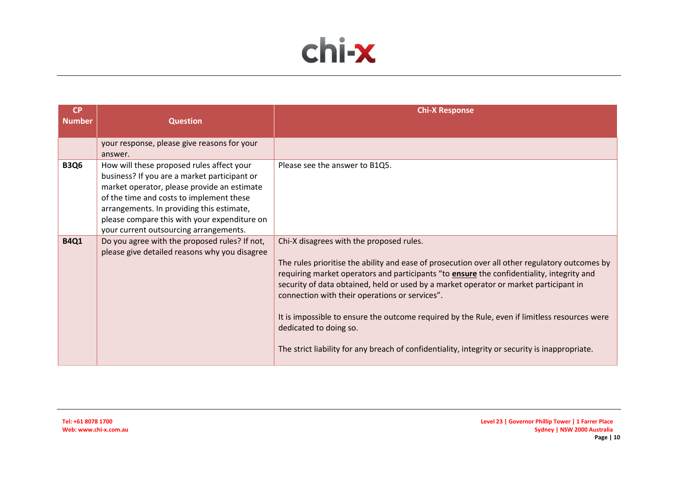

| <b>CP</b>     |                                                                                                                                                                                                                                                                                                                             | <b>Chi-X Response</b>                                                                                                                                                                                                                                                                                                                                                                                                                                                                                                                                                                                                   |
|---------------|-----------------------------------------------------------------------------------------------------------------------------------------------------------------------------------------------------------------------------------------------------------------------------------------------------------------------------|-------------------------------------------------------------------------------------------------------------------------------------------------------------------------------------------------------------------------------------------------------------------------------------------------------------------------------------------------------------------------------------------------------------------------------------------------------------------------------------------------------------------------------------------------------------------------------------------------------------------------|
| <b>Number</b> | <b>Question</b>                                                                                                                                                                                                                                                                                                             |                                                                                                                                                                                                                                                                                                                                                                                                                                                                                                                                                                                                                         |
|               | your response, please give reasons for your<br>answer.                                                                                                                                                                                                                                                                      |                                                                                                                                                                                                                                                                                                                                                                                                                                                                                                                                                                                                                         |
| <b>B3Q6</b>   | How will these proposed rules affect your<br>business? If you are a market participant or<br>market operator, please provide an estimate<br>of the time and costs to implement these<br>arrangements. In providing this estimate,<br>please compare this with your expenditure on<br>your current outsourcing arrangements. | Please see the answer to B1Q5.                                                                                                                                                                                                                                                                                                                                                                                                                                                                                                                                                                                          |
| <b>B4Q1</b>   | Do you agree with the proposed rules? If not,<br>please give detailed reasons why you disagree                                                                                                                                                                                                                              | Chi-X disagrees with the proposed rules.<br>The rules prioritise the ability and ease of prosecution over all other regulatory outcomes by<br>requiring market operators and participants "to <b>ensure</b> the confidentiality, integrity and<br>security of data obtained, held or used by a market operator or market participant in<br>connection with their operations or services".<br>It is impossible to ensure the outcome required by the Rule, even if limitless resources were<br>dedicated to doing so.<br>The strict liability for any breach of confidentiality, integrity or security is inappropriate. |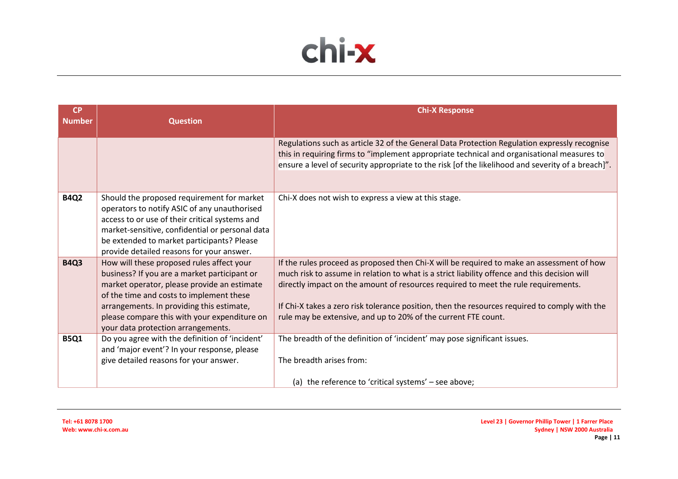

| <b>CP</b><br><b>Number</b> | <b>Question</b>                                                                                   | <b>Chi-X Response</b>                                                                                                                                                                      |
|----------------------------|---------------------------------------------------------------------------------------------------|--------------------------------------------------------------------------------------------------------------------------------------------------------------------------------------------|
|                            |                                                                                                   |                                                                                                                                                                                            |
|                            |                                                                                                   | Regulations such as article 32 of the General Data Protection Regulation expressly recognise<br>this in requiring firms to "implement appropriate technical and organisational measures to |
|                            |                                                                                                   | ensure a level of security appropriate to the risk [of the likelihood and severity of a breach]".                                                                                          |
|                            |                                                                                                   |                                                                                                                                                                                            |
| <b>B4Q2</b>                | Should the proposed requirement for market                                                        | Chi-X does not wish to express a view at this stage.                                                                                                                                       |
|                            | operators to notify ASIC of any unauthorised                                                      |                                                                                                                                                                                            |
|                            | access to or use of their critical systems and<br>market-sensitive, confidential or personal data |                                                                                                                                                                                            |
|                            | be extended to market participants? Please                                                        |                                                                                                                                                                                            |
|                            | provide detailed reasons for your answer.                                                         |                                                                                                                                                                                            |
| <b>B4Q3</b>                | How will these proposed rules affect your                                                         | If the rules proceed as proposed then Chi-X will be required to make an assessment of how                                                                                                  |
|                            | business? If you are a market participant or                                                      | much risk to assume in relation to what is a strict liability offence and this decision will                                                                                               |
|                            | market operator, please provide an estimate                                                       | directly impact on the amount of resources required to meet the rule requirements.                                                                                                         |
|                            | of the time and costs to implement these                                                          |                                                                                                                                                                                            |
|                            | arrangements. In providing this estimate,                                                         | If Chi-X takes a zero risk tolerance position, then the resources required to comply with the                                                                                              |
|                            | please compare this with your expenditure on                                                      | rule may be extensive, and up to 20% of the current FTE count.                                                                                                                             |
|                            | your data protection arrangements.                                                                |                                                                                                                                                                                            |
| <b>B5Q1</b>                | Do you agree with the definition of 'incident'<br>and 'major event'? In your response, please     | The breadth of the definition of 'incident' may pose significant issues.                                                                                                                   |
|                            | give detailed reasons for your answer.                                                            | The breadth arises from:                                                                                                                                                                   |
|                            |                                                                                                   |                                                                                                                                                                                            |
|                            |                                                                                                   | (a) the reference to 'critical systems' - see above;                                                                                                                                       |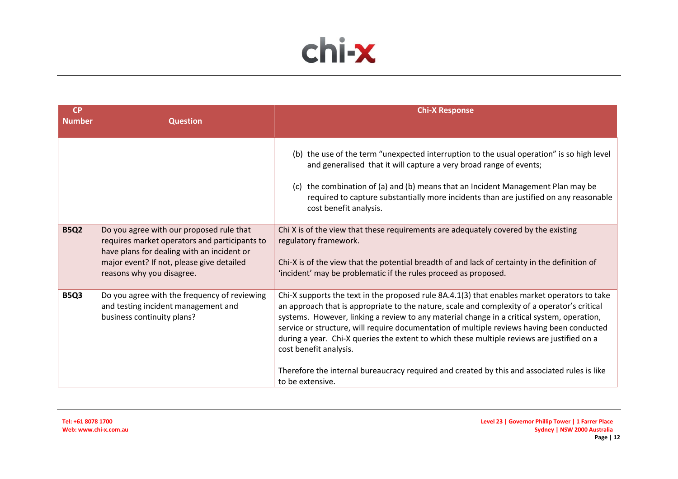

| <b>CP</b><br><b>Number</b> | <b>Question</b>                                                                                                                                                                                                   | <b>Chi-X Response</b>                                                                                                                                                                                                                                                                                                                                                                                                                                                                                            |
|----------------------------|-------------------------------------------------------------------------------------------------------------------------------------------------------------------------------------------------------------------|------------------------------------------------------------------------------------------------------------------------------------------------------------------------------------------------------------------------------------------------------------------------------------------------------------------------------------------------------------------------------------------------------------------------------------------------------------------------------------------------------------------|
|                            |                                                                                                                                                                                                                   |                                                                                                                                                                                                                                                                                                                                                                                                                                                                                                                  |
|                            |                                                                                                                                                                                                                   | (b) the use of the term "unexpected interruption to the usual operation" is so high level<br>and generalised that it will capture a very broad range of events;<br>(c) the combination of (a) and (b) means that an Incident Management Plan may be<br>required to capture substantially more incidents than are justified on any reasonable<br>cost benefit analysis.                                                                                                                                           |
| <b>B5Q2</b>                | Do you agree with our proposed rule that<br>requires market operators and participants to<br>have plans for dealing with an incident or<br>major event? If not, please give detailed<br>reasons why you disagree. | Chi X is of the view that these requirements are adequately covered by the existing<br>regulatory framework.<br>Chi-X is of the view that the potential breadth of and lack of certainty in the definition of<br>'incident' may be problematic if the rules proceed as proposed.                                                                                                                                                                                                                                 |
| <b>B5Q3</b>                | Do you agree with the frequency of reviewing<br>and testing incident management and<br>business continuity plans?                                                                                                 | Chi-X supports the text in the proposed rule 8A.4.1(3) that enables market operators to take<br>an approach that is appropriate to the nature, scale and complexity of a operator's critical<br>systems. However, linking a review to any material change in a critical system, operation,<br>service or structure, will require documentation of multiple reviews having been conducted<br>during a year. Chi-X queries the extent to which these multiple reviews are justified on a<br>cost benefit analysis. |
|                            |                                                                                                                                                                                                                   | Therefore the internal bureaucracy required and created by this and associated rules is like<br>to be extensive.                                                                                                                                                                                                                                                                                                                                                                                                 |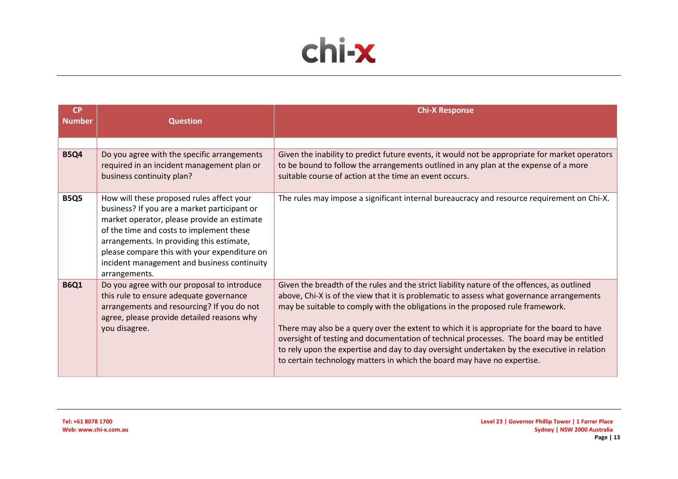

| <b>CP</b><br><b>Number</b> | <b>Question</b>                                                                                                                                                                                                                                                                                                                                   | <b>Chi-X Response</b>                                                                                                                                                                                                                                                                                                                                                                                                                                                                                                                                                                                                                          |
|----------------------------|---------------------------------------------------------------------------------------------------------------------------------------------------------------------------------------------------------------------------------------------------------------------------------------------------------------------------------------------------|------------------------------------------------------------------------------------------------------------------------------------------------------------------------------------------------------------------------------------------------------------------------------------------------------------------------------------------------------------------------------------------------------------------------------------------------------------------------------------------------------------------------------------------------------------------------------------------------------------------------------------------------|
|                            |                                                                                                                                                                                                                                                                                                                                                   |                                                                                                                                                                                                                                                                                                                                                                                                                                                                                                                                                                                                                                                |
| <b>B5Q4</b>                | Do you agree with the specific arrangements<br>required in an incident management plan or<br>business continuity plan?                                                                                                                                                                                                                            | Given the inability to predict future events, it would not be appropriate for market operators<br>to be bound to follow the arrangements outlined in any plan at the expense of a more<br>suitable course of action at the time an event occurs.                                                                                                                                                                                                                                                                                                                                                                                               |
| <b>B5Q5</b>                | How will these proposed rules affect your<br>business? If you are a market participant or<br>market operator, please provide an estimate<br>of the time and costs to implement these<br>arrangements. In providing this estimate,<br>please compare this with your expenditure on<br>incident management and business continuity<br>arrangements. | The rules may impose a significant internal bureaucracy and resource requirement on Chi-X.                                                                                                                                                                                                                                                                                                                                                                                                                                                                                                                                                     |
| <b>B6Q1</b>                | Do you agree with our proposal to introduce<br>this rule to ensure adequate governance<br>arrangements and resourcing? If you do not<br>agree, please provide detailed reasons why<br>you disagree.                                                                                                                                               | Given the breadth of the rules and the strict liability nature of the offences, as outlined<br>above, Chi-X is of the view that it is problematic to assess what governance arrangements<br>may be suitable to comply with the obligations in the proposed rule framework.<br>There may also be a query over the extent to which it is appropriate for the board to have<br>oversight of testing and documentation of technical processes. The board may be entitled<br>to rely upon the expertise and day to day oversight undertaken by the executive in relation<br>to certain technology matters in which the board may have no expertise. |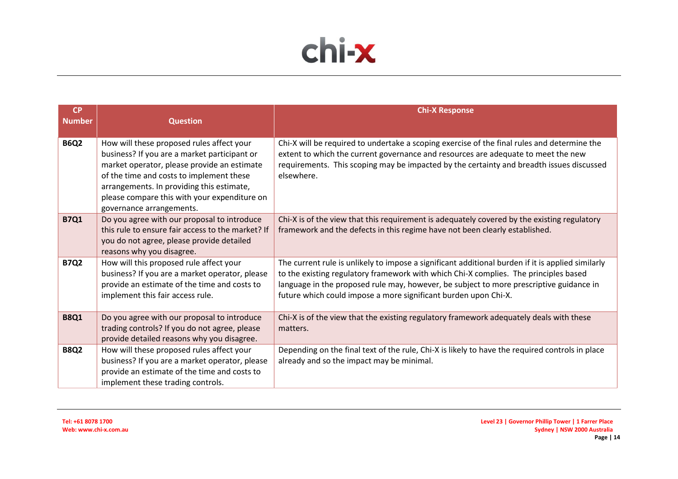

| <b>CP</b><br><b>Number</b> | <b>Question</b>                                                                                                                                                                                                                                                                                               | <b>Chi-X Response</b>                                                                                                                                                                                                                                                                                                                                   |
|----------------------------|---------------------------------------------------------------------------------------------------------------------------------------------------------------------------------------------------------------------------------------------------------------------------------------------------------------|---------------------------------------------------------------------------------------------------------------------------------------------------------------------------------------------------------------------------------------------------------------------------------------------------------------------------------------------------------|
| <b>B6Q2</b>                | How will these proposed rules affect your<br>business? If you are a market participant or<br>market operator, please provide an estimate<br>of the time and costs to implement these<br>arrangements. In providing this estimate,<br>please compare this with your expenditure on<br>governance arrangements. | Chi-X will be required to undertake a scoping exercise of the final rules and determine the<br>extent to which the current governance and resources are adequate to meet the new<br>requirements. This scoping may be impacted by the certainty and breadth issues discussed<br>elsewhere.                                                              |
| <b>B7Q1</b>                | Do you agree with our proposal to introduce<br>this rule to ensure fair access to the market? If<br>you do not agree, please provide detailed<br>reasons why you disagree.                                                                                                                                    | Chi-X is of the view that this requirement is adequately covered by the existing regulatory<br>framework and the defects in this regime have not been clearly established.                                                                                                                                                                              |
| <b>B7Q2</b>                | How will this proposed rule affect your<br>business? If you are a market operator, please<br>provide an estimate of the time and costs to<br>implement this fair access rule.                                                                                                                                 | The current rule is unlikely to impose a significant additional burden if it is applied similarly<br>to the existing regulatory framework with which Chi-X complies. The principles based<br>language in the proposed rule may, however, be subject to more prescriptive guidance in<br>future which could impose a more significant burden upon Chi-X. |
| <b>B8Q1</b>                | Do you agree with our proposal to introduce<br>trading controls? If you do not agree, please<br>provide detailed reasons why you disagree.                                                                                                                                                                    | Chi-X is of the view that the existing regulatory framework adequately deals with these<br>matters.                                                                                                                                                                                                                                                     |
| <b>B8Q2</b>                | How will these proposed rules affect your<br>business? If you are a market operator, please<br>provide an estimate of the time and costs to<br>implement these trading controls.                                                                                                                              | Depending on the final text of the rule, Chi-X is likely to have the required controls in place<br>already and so the impact may be minimal.                                                                                                                                                                                                            |